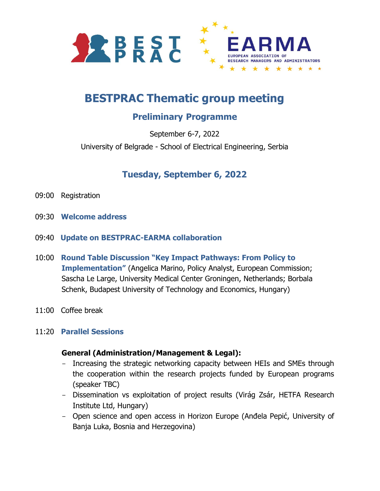

# **BESTPRAC Thematic group meeting**

## **Preliminary Programme**

September 6-7, 2022 University of Belgrade - School of Electrical Engineering, Serbia

## **Tuesday, September 6, 2022**

- 09:00 Registration
- 09:30 **Welcome address**
- 09:40 **Update on BESTPRAC-EARMA collaboration**
- 10:00 **Round Table Discussion "Key Impact Pathways: From Policy to Implementation"** (Angelica Marino, Policy Analyst, European Commission; Sascha Le Large, University Medical Center Groningen, Netherlands; Borbala Schenk, Budapest University of Technology and Economics, Hungary)
- 11:00 Coffee break
- 11:20 **Parallel Sessions**

#### **General (Administration/Management & Legal):**

- Increasing the strategic networking capacity between HEIs and SMEs through the cooperation within the research projects funded by European programs (speaker TBC)
- Dissemination vs exploitation of project results (Virág Zsár, HETFA Research Institute Ltd, Hungary)
- Open science and open access in Horizon Europe (Anđela Pepić, University of Banja Luka, Bosnia and Herzegovina)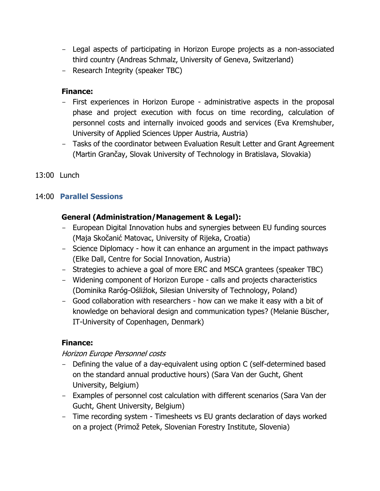- Legal aspects of participating in Horizon Europe projects as a non-associated third country (Andreas Schmalz, University of Geneva, Switzerland)
- Research Integrity (speaker TBC)

### **Finance:**

- First experiences in Horizon Europe administrative aspects in the proposal phase and project execution with focus on time recording, calculation of personnel costs and internally invoiced goods and services (Eva Kremshuber, University of Applied Sciences Upper Austria, Austria)
- Tasks of the coordinator between Evaluation Result Letter and Grant Agreement (Martin Grančay, Slovak University of Technology in Bratislava, Slovakia)
- 13:00 Lunch

### 14:00 **Parallel Sessions**

### **General (Administration/Management & Legal):**

- European Digital Innovation hubs and synergies between EU funding sources (Maja Skočanić Matovac, University of Rijeka, Croatia)
- Science Diplomacy how it can enhance an argument in the impact pathways (Elke Dall, Centre for Social Innovation, Austria)
- Strategies to achieve a goal of more ERC and MSCA grantees (speaker TBC)
- Widening component of Horizon Europe calls and projects characteristics (Dominika Raróg-Ośliźlok, Silesian University of Technology, Poland)
- Good collaboration with researchers how can we make it easy with a bit of knowledge on behavioral design and communication types? (Melanie Büscher, IT-University of Copenhagen, Denmark)

### **Finance:**

### Horizon Europe Personnel costs

- Defining the value of a day-equivalent using option C (self-determined based on the standard annual productive hours) (Sara Van der Gucht, Ghent University, Belgium)
- Examples of personnel cost calculation with different scenarios (Sara Van der Gucht, Ghent University, Belgium)
- Time recording system Timesheets vs EU grants declaration of days worked on a project (Primož Petek, Slovenian Forestry Institute, Slovenia)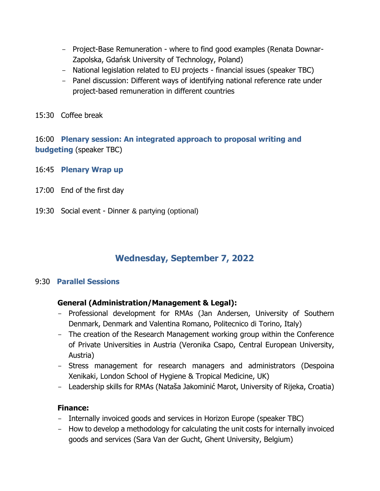- Project-Base Remuneration where to find good examples (Renata Downar-Zapolska, Gdańsk University of Technology, Poland)
- National legislation related to EU projects financial issues (speaker TBC)
- Panel discussion: Different ways of identifying national reference rate under project-based remuneration in different countries
- 15:30 Coffee break

16:00 **Plenary session: An integrated approach to proposal writing and budgeting** (speaker TBC)

- 16:45 **Plenary Wrap up**
- 17:00 End of the first day
- 19:30 Social event Dinner & partying (optional)

### **Wednesday, September 7, 2022**

### 9:30 **Parallel Sessions**

### **General (Administration/Management & Legal):**

- Professional development for RMAs (Jan Andersen, University of Southern Denmark, Denmark and Valentina Romano, Politecnico di Torino, Italy)
- The creation of the Research Management working group within the Conference of Private Universities in Austria (Veronika Csapo, Central European University, Austria)
- Stress management for research managers and administrators (Despoina Xenikaki, London School of Hygiene & Tropical Medicine, UK)
- Leadership skills for RMAs (Nataša Jakominić Marot, University of Rijeka, Croatia)

#### **Finance:**

- Internally invoiced goods and services in Horizon Europe (speaker TBC)
- How to develop a methodology for calculating the unit costs for internally invoiced goods and services (Sara Van der Gucht, Ghent University, Belgium)